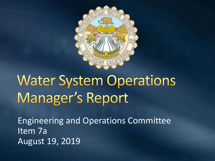

# **Water System Operations** Manager's Report

Engineering and Operations Committee Item 7a August 19, 2019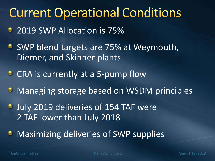#### **Current Operational Conditions**

- 2019 SWP Allocation is 75%
- **SWP blend targets are 75% at Weymouth,** Diemer, and Skinner plants
- CRA is currently at a 5-pump flow
- **Managing storage based on WSDM principles**
- **July 2019 deliveries of 154 TAF were** 2 TAF lower than July 2018
- **Maximizing deliveries of SWP supplies**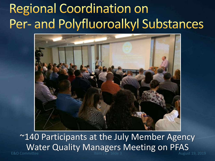## **Regional Coordination on** Per- and Polyfluoroalkyl Substances



E&O Committee The Theorem Item 7a Slide 3 August 19, 2019 ~140 Participants at the July Member Agency Water Quality Managers Meeting on PFAS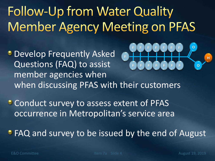# **Follow-Up from Water Quality Member Agency Meeting on PFAS**

- **Develop Frequently Asked** Questions (FAQ) to assist member agencies when **F F F F F F F F** when discussing PFAS with their customers
- **Conduct survey to assess extent of PFAS** occurrence in Metropolitan's service area
- **FAQ and survey to be issued by the end of August**

**O**

**O**

**H**

**F F F F F F F**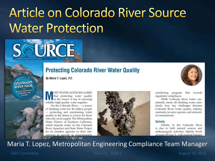## Article on Colorado River Source **Water Protection**



COLORADO **RIVER ISSUE** 

#### **Protecting Colorado River Water Quality**

By Maria T. Lopez, P.E.

OST WATER AGENCIES AGREE that protecting water quality at the source is key to ensuring reliable, high-quality water supplies.

On the Colorado River - a source of drinking water for 40 million people - protecting and maintaining water quality in the future is a focus for those who rely on its supply. The Metropolitan Water District of Southern California, which imports water via the Colorado River Aqueduct and State Water Project for its member agencies or their subagencies to provide to approximately





monitoring program that exceeds regulatory compliance.

While Colorado River water consistently meets all drinking water standards, four key challenges threaten Colorado River water quality: salinity; nutrients; invasive species; and industrial contaminants.

#### **Salinity**

Salinity in the Colorado River is due to both natural sources and anthropogenic activities. Salinity levels average 630 mg/L, with gradual changes

Maria T. Lopez, Metropolitan Engineering Compliance Team Manager

E&O Committee The Item 7a Slide 5 August 19, 2019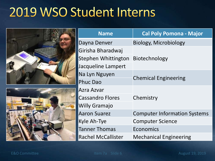#### 2019 WSO Student Interns

|  | <b>Name</b>                | <b>Cal Poly Pomona - Major</b>      |
|--|----------------------------|-------------------------------------|
|  | Dayna Denver               | <b>Biology, Microbiology</b>        |
|  | Girisha Bharadwaj          |                                     |
|  | <b>Stephen Whittington</b> | Biotechnology                       |
|  | Jacqueline Lampert         |                                     |
|  | Na Lyn Nguyen              |                                     |
|  | <b>Phuc Dao</b>            | <b>Chemical Engineering</b>         |
|  | Azra Azvar                 |                                     |
|  | <b>Cassandro Flores</b>    | Chemistry                           |
|  | <b>Willy Gramajo</b>       |                                     |
|  | <b>Aaron Suarez</b>        | <b>Computer Information Systems</b> |
|  | Kyle Ah-Tye                | <b>Computer Science</b>             |
|  | <b>Tanner Thomas</b>       | Economics                           |
|  | <b>Rachel McCallister</b>  | <b>Mechanical Engineering</b>       |

E.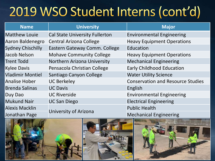## 2019 WSO Student Interns (cont'd)

| <b>Name</b>              | <b>University</b>                     | <b>Major</b>                             |
|--------------------------|---------------------------------------|------------------------------------------|
| <b>Matthew Louie</b>     | <b>Cal State University Fullerton</b> | <b>Environmental Engineering</b>         |
| Aaron Baldenegro         | <b>Central Arizona College</b>        | <b>Heavy Equipment Operations</b>        |
| <b>Sydney Chischilly</b> | Eastern Gateway Comm. College         | Education                                |
| Jacob Nelson             | <b>Mohave Community College</b>       | <b>Heavy Equipment Operations</b>        |
| <b>Trent Todd</b>        | Northern Arizona University           | <b>Mechanical Engineering</b>            |
| <b>Kylee Davis</b>       | Pensacola Christian College           | <b>Early Childhood Education</b>         |
| <b>Vladimir Montiel</b>  | Santiago Canyon College               | <b>Water Utility Science</b>             |
| <b>Analise Hober</b>     | <b>UC Berkeley</b>                    | <b>Conservation and Resource Studies</b> |
| <b>Brenda Salinas</b>    | <b>UC Davis</b>                       | English                                  |
| Duy Dao                  | <b>UC Riverside</b>                   | <b>Environmental Engineering</b>         |
| <b>Mukund Nair</b>       | <b>UC San Diego</b>                   | <b>Electrical Engineering</b>            |
| <b>Alexis Macklin</b>    |                                       | <b>Public Health</b>                     |
| Jonathan Page            | University of Arizona                 | <b>Mechanical Engineering</b>            |